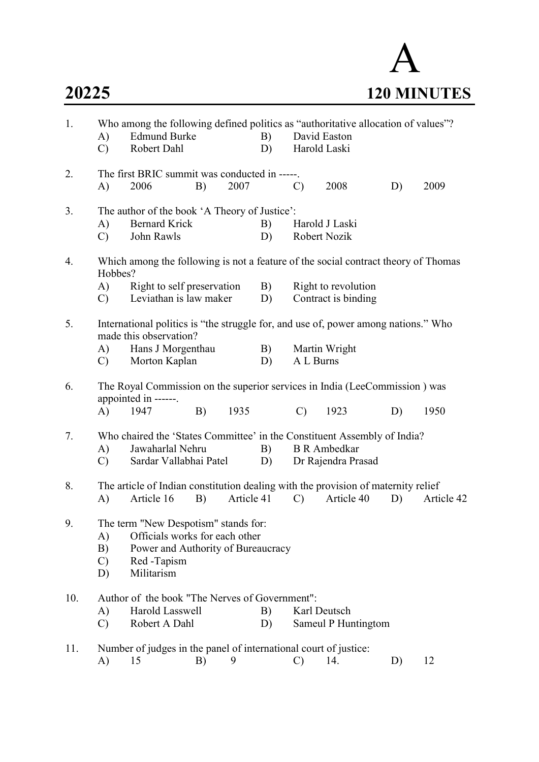

| 1.  | A)<br>$\mathcal{C}$             | Who among the following defined politics as "authoritative allocation of values"?<br><b>Edmund Burke</b><br>Robert Dahl                            |    |            | B)<br>D) |               | David Easton<br>Harold Laski               |    |            |
|-----|---------------------------------|----------------------------------------------------------------------------------------------------------------------------------------------------|----|------------|----------|---------------|--------------------------------------------|----|------------|
| 2.  | A)                              | The first BRIC summit was conducted in -----.<br>2006                                                                                              | B) | 2007       |          | $\mathcal{C}$ | 2008                                       | D) | 2009       |
| 3.  | A)<br>$\mathcal{C}$             | The author of the book 'A Theory of Justice':<br><b>Bernard Krick</b><br>John Rawls                                                                |    |            | B)<br>D) |               | Harold J Laski<br>Robert Nozik             |    |            |
| 4.  | Hobbes?                         | Which among the following is not a feature of the social contract theory of Thomas                                                                 |    |            |          |               |                                            |    |            |
|     | A)<br>$\mathbf{C}$              | Right to self preservation<br>Leviathan is law maker                                                                                               |    |            | B)<br>D) |               | Right to revolution<br>Contract is binding |    |            |
| 5.  | A)<br>$\mathcal{C}$ )           | International politics is "the struggle for, and use of, power among nations." Who<br>made this observation?<br>Hans J Morgenthau<br>Morton Kaplan |    |            | B)<br>D) | A L Burns     | Martin Wright                              |    |            |
| 6.  | A)                              | The Royal Commission on the superior services in India (LeeCommission) was<br>appointed in ------.<br>1947                                         | B) | 1935       |          | $\mathcal{C}$ | 1923                                       | D) | 1950       |
| 7.  | A)<br>$\mathcal{C}$             | Who chaired the 'States Committee' in the Constituent Assembly of India?<br>Jawaharlal Nehru<br>Sardar Vallabhai Patel                             |    |            | B)<br>D) |               | <b>B</b> R Ambedkar<br>Dr Rajendra Prasad  |    |            |
| 8.  | A)                              | The article of Indian constitution dealing with the provision of maternity relief<br>Article 16                                                    | B) | Article 41 |          | $\mathcal{C}$ | Article 40                                 | D) | Article 42 |
| 9.  | A)<br>B)<br>$\mathcal{C}$<br>D) | The term "New Despotism" stands for:<br>Officials works for each other<br>Power and Authority of Bureaucracy<br>Red -Tapism<br>Militarism          |    |            |          |               |                                            |    |            |
| 10. | A)<br>$\mathcal{C}$             | Author of the book "The Nerves of Government":<br>Harold Lasswell<br>Robert A Dahl                                                                 |    |            | B)<br>D) |               | Karl Deutsch<br>Sameul P Huntingtom        |    |            |
| 11. | A)                              | Number of judges in the panel of international court of justice:<br>15                                                                             | B) | 9          |          | $\mathcal{C}$ | 14.                                        | D) | 12         |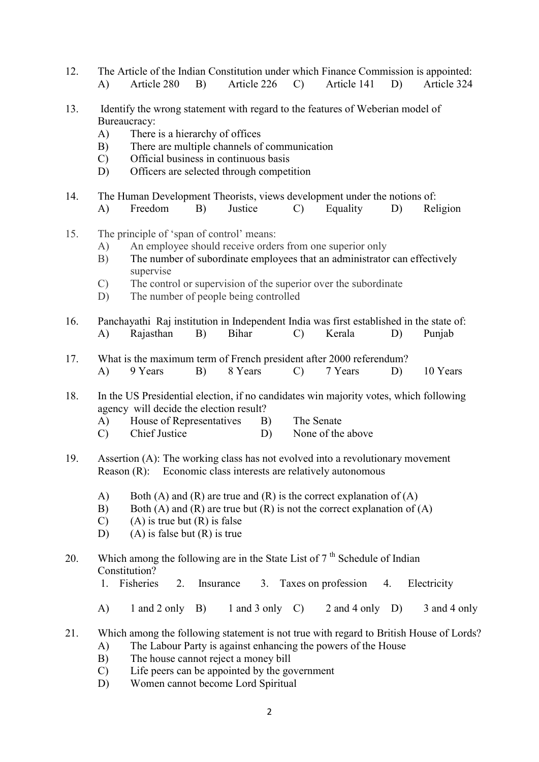- 12. The Article of the Indian Constitution under which Finance Commission is appointed: A) Article 280 B) Article 226 C) Article 141 D) Article 324
- 13. Identify the wrong statement with regard to the features of Weberian model of Bureaucracy:
	- A) There is a hierarchy of offices
	- B) There are multiple channels of communication
	- C) Official business in continuous basis
	- D) Officers are selected through competition
- 14. The Human Development Theorists, views development under the notions of:
	- A) Freedom B) Justice C) Equality D) Religion
- 15. The principle of 'span of control' means:
	- A) An employee should receive orders from one superior only
	- B) The number of subordinate employees that an administrator can effectively supervise
	- C) The control or supervision of the superior over the subordinate
	- D) The number of people being controlled
- 16. Panchayathi Raj institution in Independent India was first established in the state of: A) Rajasthan B) Bihar C) Kerala D) Punjab
- 17. What is the maximum term of French president after 2000 referendum? A) 9 Years B) 8 Years C) 7 Years D) 10 Years
- 18. In the US Presidential election, if no candidates win majority votes, which following agency will decide the election result?
	- A) House of Representatives B) The Senate
	- C) Chief Justice D) None of the above
- 19. Assertion (A): The working class has not evolved into a revolutionary movement Reason (R): Economic class interests are relatively autonomous
	- A) Both (A) and (R) are true and (R) is the correct explanation of (A)
	- B) Both (A) and (R) are true but (R) is not the correct explanation of (A)
	- $(C)$  (A) is true but  $(R)$  is false
	- D) (A) is false but  $(R)$  is true
- 20. Which among the following are in the State List of  $7<sup>th</sup>$  Schedule of Indian Constitution?
	- 1. Fisheries 2. Insurance 3. Taxes on profession 4. Electricity
	- A) 1 and 2 only B) 1 and 3 only C) 2 and 4 only D) 3 and 4 only
- 21. Which among the following statement is not true with regard to British House of Lords? A) The Labour Party is against enhancing the powers of the House
	- B) The house cannot reject a money bill
	- C) Life peers can be appointed by the government
	- D) Women cannot become Lord Spiritual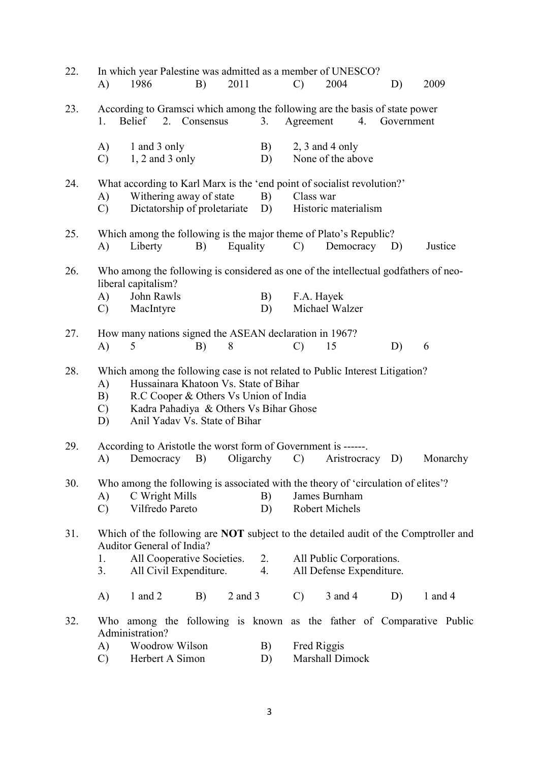| 22. | A)                              | 1986                                           |    | B)                                                      | 2011        |                                                                                                                          | $\mathbf{C}$    | In which year Palestine was admitted as a member of UNESCO?<br>2004                                                  |    | D)         | 2009                                                                                       |
|-----|---------------------------------|------------------------------------------------|----|---------------------------------------------------------|-------------|--------------------------------------------------------------------------------------------------------------------------|-----------------|----------------------------------------------------------------------------------------------------------------------|----|------------|--------------------------------------------------------------------------------------------|
| 23. | 1.                              | <b>Belief</b>                                  | 2. | Consensus                                               |             | 3.                                                                                                                       | Agreement       | According to Gramsci which among the following are the basis of state power                                          | 4. | Government |                                                                                            |
|     | A)<br>$\mathcal{C}$             | 1 and 3 only<br>$1, 2$ and 3 only              |    |                                                         |             | B)<br>D)                                                                                                                 |                 | $2, 3$ and 4 only<br>None of the above                                                                               |    |            |                                                                                            |
| 24. | A)<br>$\mathcal{C}$             |                                                |    | Withering away of state<br>Dictatorship of proletariate |             | B)<br>D)                                                                                                                 | Class war       | What according to Karl Marx is the 'end point of socialist revolution?'<br>Historic materialism                      |    |            |                                                                                            |
| 25. | A)                              | Liberty                                        |    | B)                                                      | Equality    |                                                                                                                          | $\mathcal{C}$   | Which among the following is the major theme of Plato's Republic?<br>Democracy D)                                    |    |            | Justice                                                                                    |
| 26. | A)<br>$\mathcal{C}$             | liberal capitalism?<br>John Rawls<br>MacIntyre |    |                                                         |             | B)<br>D)                                                                                                                 | F.A. Hayek      | Michael Walzer                                                                                                       |    |            | Who among the following is considered as one of the intellectual godfathers of neo-        |
| 27. | A)                              | 5                                              |    | B)                                                      | 8           |                                                                                                                          | $\mathcal{C}$   | How many nations signed the ASEAN declaration in 1967?<br>15                                                         |    | D)         | 6                                                                                          |
| 28. | A)<br>B)<br>$\mathcal{C}$<br>D) |                                                |    | Anil Yadav Vs. State of Bihar                           |             | Hussainara Khatoon Vs. State of Bihar<br>R.C Cooper & Others Vs Union of India<br>Kadra Pahadiya & Others Vs Bihar Ghose |                 | Which among the following case is not related to Public Interest Litigation?                                         |    |            |                                                                                            |
| 29. | A)                              | Democracy                                      |    | B)                                                      | Oligarchy   |                                                                                                                          | $\mathcal{C}$ ) | According to Aristotle the worst form of Government is ------<br>Aristrocracy                                        |    | D)         | Monarchy                                                                                   |
| 30. | A)<br>$\mathcal{C}$             | C Wright Mills<br>Vilfredo Pareto              |    |                                                         |             | B)<br>D)                                                                                                                 |                 | Who among the following is associated with the theory of 'circulation of elites'?<br>James Burnham<br>Robert Michels |    |            |                                                                                            |
| 31. | 1.<br>3.                        | Auditor General of India?                      |    | All Cooperative Societies.<br>All Civil Expenditure.    |             | 2.<br>4.                                                                                                                 |                 | All Public Corporations.<br>All Defense Expenditure.                                                                 |    |            | Which of the following are <b>NOT</b> subject to the detailed audit of the Comptroller and |
|     | A)                              | 1 and $2$                                      |    | B)                                                      | $2$ and $3$ |                                                                                                                          | $\mathcal{C}$   | 3 and 4                                                                                                              |    | D)         | 1 and $4$                                                                                  |
| 32. | A)                              | Administration?<br>Woodrow Wilson              |    |                                                         |             | B)                                                                                                                       | Fred Riggis     |                                                                                                                      |    |            | Who among the following is known as the father of Comparative Public                       |
|     | $\mathcal{C}$                   | Herbert A Simon                                |    |                                                         |             | D)                                                                                                                       |                 | Marshall Dimock                                                                                                      |    |            |                                                                                            |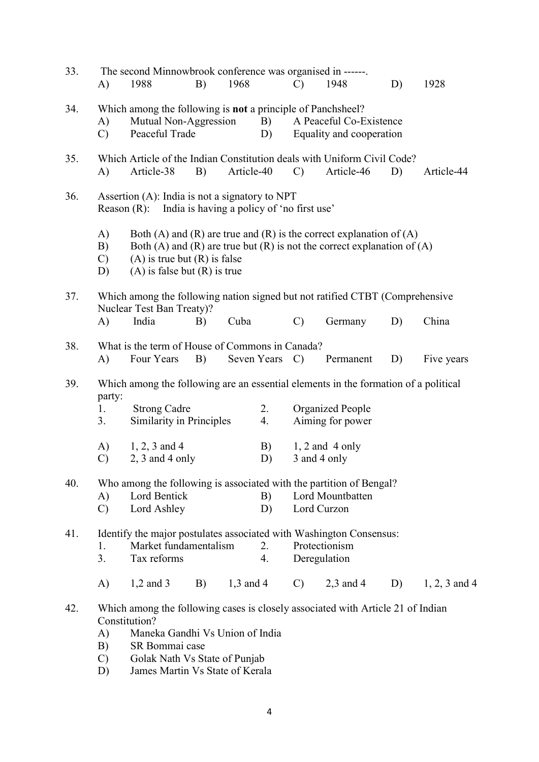| 33. | A)                                        | The second Minnowbrook conference was organised in ------.<br>1988                                                                                                                                                        | B) | 1968        |                      | $\mathcal{C}$                                                                                                      | 1948                                                                                                                                           | D) | 1928            |  |
|-----|-------------------------------------------|---------------------------------------------------------------------------------------------------------------------------------------------------------------------------------------------------------------------------|----|-------------|----------------------|--------------------------------------------------------------------------------------------------------------------|------------------------------------------------------------------------------------------------------------------------------------------------|----|-----------------|--|
| 34. | A)<br>$\mathcal{C}$                       | Mutual Non-Aggression<br>Peaceful Trade                                                                                                                                                                                   |    |             | B)<br>D)             | Which among the following is not a principle of Panchsheel?<br>A Peaceful Co-Existence<br>Equality and cooperation |                                                                                                                                                |    |                 |  |
| 35. | A)                                        | Which Article of the Indian Constitution deals with Uniform Civil Code?<br>Article-38                                                                                                                                     | B) | Article-40  |                      | $\mathcal{C}$                                                                                                      | Article-46                                                                                                                                     | D) | Article-44      |  |
| 36. |                                           | Assertion (A): India is not a signatory to NPT<br>Reason (R): India is having a policy of 'no first use'                                                                                                                  |    |             |                      |                                                                                                                    |                                                                                                                                                |    |                 |  |
|     | $\bf{A}$<br>B)<br>$\mathcal{C}$<br>D)     | $(A)$ is true but $(R)$ is false<br>$(A)$ is false but $(R)$ is true                                                                                                                                                      |    |             |                      |                                                                                                                    | Both (A) and (R) are true and (R) is the correct explanation of (A)<br>Both (A) and (R) are true but (R) is not the correct explanation of (A) |    |                 |  |
| 37. | A)                                        | Which among the following nation signed but not ratified CTBT (Comprehensive<br>Nuclear Test Ban Treaty)?<br>India                                                                                                        | B) | Cuba        |                      | $\mathcal{C}$                                                                                                      | Germany                                                                                                                                        | D) | China           |  |
| 38. | A)                                        | What is the term of House of Commons in Canada?<br>Four Years                                                                                                                                                             | B) |             | Seven Years          | $\mathcal{C}$                                                                                                      | Permanent                                                                                                                                      | D) | Five years      |  |
| 39. | party:<br>1.<br>3.<br>A)<br>$\mathcal{C}$ | Which among the following are an essential elements in the formation of a political<br><b>Strong Cadre</b><br>Similarity in Principles<br>$1, 2, 3$ and 4<br>$2, 3$ and 4 only                                            |    |             | 2.<br>4.<br>B)<br>D) |                                                                                                                    | <b>Organized People</b><br>Aiming for power<br>$1, 2$ and 4 only<br>3 and 4 only                                                               |    |                 |  |
| 40. | A)<br>$\mathcal{C}$                       | Who among the following is associated with the partition of Bengal?<br>Lord Bentick<br>Lord Ashley                                                                                                                        |    |             | B)<br>D)             |                                                                                                                    | Lord Mountbatten<br>Lord Curzon                                                                                                                |    |                 |  |
| 41. | 1.<br>3.                                  | Identify the major postulates associated with Washington Consensus:<br>Market fundamentalism<br>Tax reforms                                                                                                               |    |             | 2.<br>4.             |                                                                                                                    | Protectionism<br>Deregulation                                                                                                                  |    |                 |  |
|     | A)                                        | $1,2$ and 3                                                                                                                                                                                                               | B) | $1,3$ and 4 |                      | $\mathbf{C}$                                                                                                       | $2,3$ and 4                                                                                                                                    | D) | $1, 2, 3$ and 4 |  |
| 42. | A)<br>B)<br>$\mathcal{C}$<br>D)           | Which among the following cases is closely associated with Article 21 of Indian<br>Constitution?<br>Maneka Gandhi Vs Union of India<br>SR Bommai case<br>Golak Nath Vs State of Punjab<br>James Martin Vs State of Kerala |    |             |                      |                                                                                                                    |                                                                                                                                                |    |                 |  |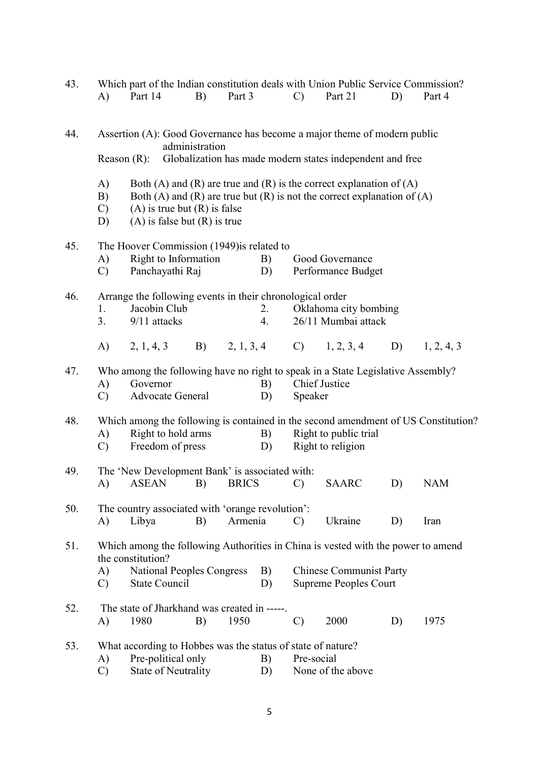| 43. |                                                                                            |                                                                                   |    |         |            |               | Which part of the Indian constitution deals with Union Public Service Commission? |    |                                                                                    |  |  |  |
|-----|--------------------------------------------------------------------------------------------|-----------------------------------------------------------------------------------|----|---------|------------|---------------|-----------------------------------------------------------------------------------|----|------------------------------------------------------------------------------------|--|--|--|
|     | A)                                                                                         | Part 14                                                                           | B) | Part 3  |            | $\mathcal{C}$ | Part 21                                                                           | D) | Part 4                                                                             |  |  |  |
|     |                                                                                            |                                                                                   |    |         |            |               |                                                                                   |    |                                                                                    |  |  |  |
|     |                                                                                            |                                                                                   |    |         |            |               |                                                                                   |    |                                                                                    |  |  |  |
| 44. | Assertion (A): Good Governance has become a major theme of modern public<br>administration |                                                                                   |    |         |            |               |                                                                                   |    |                                                                                    |  |  |  |
|     | Reason $(R)$ :                                                                             |                                                                                   |    |         |            |               | Globalization has made modern states independent and free                         |    |                                                                                    |  |  |  |
|     |                                                                                            |                                                                                   |    |         |            |               |                                                                                   |    |                                                                                    |  |  |  |
|     | A)                                                                                         |                                                                                   |    |         |            |               | Both (A) and (R) are true and (R) is the correct explanation of (A)               |    |                                                                                    |  |  |  |
|     | B)                                                                                         |                                                                                   |    |         |            |               | Both (A) and (R) are true but (R) is not the correct explanation of (A)           |    |                                                                                    |  |  |  |
|     | $\mathcal{C}$ )                                                                            | $(A)$ is true but $(R)$ is false                                                  |    |         |            |               |                                                                                   |    |                                                                                    |  |  |  |
|     | D)                                                                                         | $(A)$ is false but $(R)$ is true                                                  |    |         |            |               |                                                                                   |    |                                                                                    |  |  |  |
| 45. |                                                                                            | The Hoover Commission (1949) is related to                                        |    |         |            |               |                                                                                   |    |                                                                                    |  |  |  |
|     | A)                                                                                         | Right to Information                                                              |    |         | B)         |               | Good Governance                                                                   |    |                                                                                    |  |  |  |
|     | $\mathcal{C}$                                                                              | Panchayathi Raj                                                                   |    |         | D)         |               | Performance Budget                                                                |    |                                                                                    |  |  |  |
|     |                                                                                            |                                                                                   |    |         |            |               |                                                                                   |    |                                                                                    |  |  |  |
| 46. |                                                                                            | Arrange the following events in their chronological order                         |    |         |            |               |                                                                                   |    |                                                                                    |  |  |  |
|     | 1.                                                                                         | Jacobin Club                                                                      |    |         | 2.         |               | Oklahoma city bombing                                                             |    |                                                                                    |  |  |  |
|     | 3.                                                                                         | 9/11 attacks                                                                      |    |         | 4.         |               | 26/11 Mumbai attack                                                               |    |                                                                                    |  |  |  |
|     |                                                                                            |                                                                                   |    |         |            |               | A) $2, 1, 4, 3$ B) $2, 1, 3, 4$ C) $1, 2, 3, 4$                                   |    | D) $1, 2, 4, 3$                                                                    |  |  |  |
|     |                                                                                            |                                                                                   |    |         |            |               |                                                                                   |    |                                                                                    |  |  |  |
| 47. |                                                                                            |                                                                                   |    |         |            |               | Who among the following have no right to speak in a State Legislative Assembly?   |    |                                                                                    |  |  |  |
|     | A)                                                                                         | Governor                                                                          |    |         | B)         |               | <b>Chief Justice</b>                                                              |    |                                                                                    |  |  |  |
|     | $\mathcal{C}$                                                                              | Advocate General                                                                  |    |         | D)         | Speaker       |                                                                                   |    |                                                                                    |  |  |  |
| 48. |                                                                                            |                                                                                   |    |         |            |               |                                                                                   |    | Which among the following is contained in the second amendment of US Constitution? |  |  |  |
|     | A)                                                                                         | Right to hold arms                                                                |    |         | <b>B</b> ) |               | Right to public trial                                                             |    |                                                                                    |  |  |  |
|     | $\mathbf{C}$                                                                               | Freedom of press                                                                  |    |         | D)         |               | Right to religion                                                                 |    |                                                                                    |  |  |  |
|     |                                                                                            |                                                                                   |    |         |            |               |                                                                                   |    |                                                                                    |  |  |  |
| 49. |                                                                                            | The 'New Development Bank' is associated with:                                    |    |         |            |               |                                                                                   |    |                                                                                    |  |  |  |
|     |                                                                                            | A) ASEAN B) BRICS C) SAARC                                                        |    |         |            |               |                                                                                   | D) | NAM                                                                                |  |  |  |
|     |                                                                                            |                                                                                   |    |         |            |               |                                                                                   |    |                                                                                    |  |  |  |
| 50. |                                                                                            | The country associated with 'orange revolution':                                  |    |         |            |               |                                                                                   |    |                                                                                    |  |  |  |
|     | A)                                                                                         | Libya                                                                             | B) | Armenia |            | $\mathcal{C}$ | Ukraine                                                                           | D) | Iran                                                                               |  |  |  |
| 51. |                                                                                            |                                                                                   |    |         |            |               | Which among the following Authorities in China is vested with the power to amend  |    |                                                                                    |  |  |  |
|     |                                                                                            | the constitution?                                                                 |    |         |            |               |                                                                                   |    |                                                                                    |  |  |  |
|     | A)                                                                                         | <b>National Peoples Congress</b>                                                  |    |         | B)         |               | <b>Chinese Communist Party</b>                                                    |    |                                                                                    |  |  |  |
|     | $\mathcal{C}$                                                                              | State Council                                                                     |    |         | D)         |               | <b>Supreme Peoples Court</b>                                                      |    |                                                                                    |  |  |  |
|     |                                                                                            |                                                                                   |    |         |            |               |                                                                                   |    |                                                                                    |  |  |  |
| 52. |                                                                                            | The state of Jharkhand was created in -----.                                      |    |         |            |               |                                                                                   |    |                                                                                    |  |  |  |
|     | A)                                                                                         | 1980                                                                              | B) | 1950    |            | $\mathcal{C}$ | 2000                                                                              | D) | 1975                                                                               |  |  |  |
| 53. |                                                                                            |                                                                                   |    |         |            |               |                                                                                   |    |                                                                                    |  |  |  |
|     | A)                                                                                         | What according to Hobbes was the status of state of nature?<br>Pre-political only |    |         |            |               | B)<br>Pre-social                                                                  |    |                                                                                    |  |  |  |
|     | $\mathcal{C}$                                                                              | State of Neutrality                                                               |    |         | D)         |               | None of the above                                                                 |    |                                                                                    |  |  |  |
|     |                                                                                            |                                                                                   |    |         |            |               |                                                                                   |    |                                                                                    |  |  |  |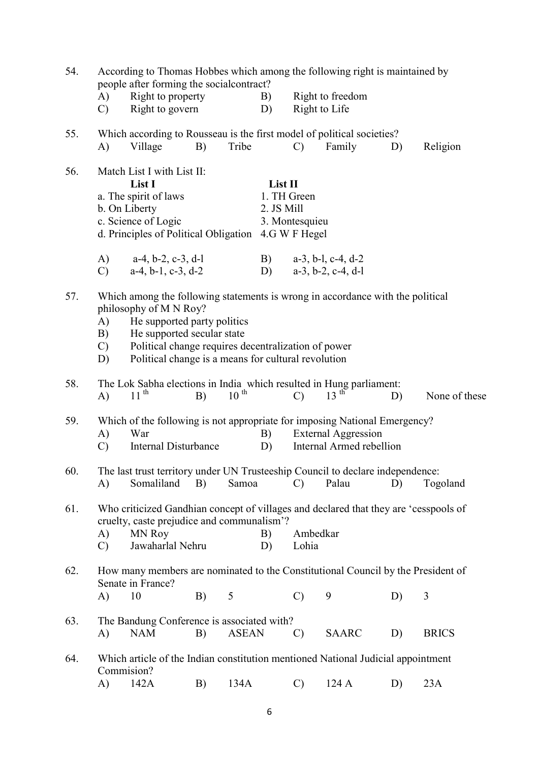| 54. | According to Thomas Hobbes which among the following right is maintained by<br>people after forming the social contract?                                                                                                                                                                                                 |                                                                                                                                                                  |    |              |                                      |                   |                                                        |    |               |  |
|-----|--------------------------------------------------------------------------------------------------------------------------------------------------------------------------------------------------------------------------------------------------------------------------------------------------------------------------|------------------------------------------------------------------------------------------------------------------------------------------------------------------|----|--------------|--------------------------------------|-------------------|--------------------------------------------------------|----|---------------|--|
|     | A)<br>$\mathcal{C}$                                                                                                                                                                                                                                                                                                      | Right to property<br>Right to govern                                                                                                                             |    |              | B)<br>D)                             | Right to Life     | Right to freedom                                       |    |               |  |
| 55. | A)                                                                                                                                                                                                                                                                                                                       | Which according to Rousseau is the first model of political societies?<br>Village                                                                                | B) | Tribe        |                                      | $\mathcal{C}$     | Family                                                 | D) | Religion      |  |
| 56. | Match List I with List II:<br>List I<br>a. The spirit of laws<br>b. On Liberty<br>c. Science of Logic<br>d. Principles of Political Obligation 4.G W F Hegel                                                                                                                                                             |                                                                                                                                                                  |    |              | List II<br>1. TH Green<br>2. JS Mill | 3. Montesquieu    |                                                        |    |               |  |
|     | A)<br>$\mathcal{C}$                                                                                                                                                                                                                                                                                                      | $a-4$ , $b-2$ , $c-3$ , $d-1$<br>$a-4, b-1, c-3, d-2$                                                                                                            |    |              | $\mathbf{B}$ )                       |                   | $a-3$ , b-l, c-4, d-2<br>D) $a-3, b-2, c-4, d-1$       |    |               |  |
| 57. | Which among the following statements is wrong in accordance with the political<br>philosophy of M N Roy?<br>He supported party politics<br>A)<br>He supported secular state<br>B)<br>Political change requires decentralization of power<br>$\mathcal{C}$ )<br>Political change is a means for cultural revolution<br>D) |                                                                                                                                                                  |    |              |                                      |                   |                                                        |    |               |  |
| 58. | A)                                                                                                                                                                                                                                                                                                                       | The Lok Sabha elections in India which resulted in Hung parliament:<br>11 <sup>th</sup>                                                                          | B) | $10^{th}$    |                                      | $\mathcal{C}$     | $13$ <sup>th</sup>                                     | D) | None of these |  |
| 59. | A)<br>$\mathcal{C}$                                                                                                                                                                                                                                                                                                      | Which of the following is not appropriate for imposing National Emergency?<br>War<br>Internal Disturbance                                                        |    |              | B)<br>D)                             |                   | <b>External Aggression</b><br>Internal Armed rebellion |    |               |  |
| 60. | A)                                                                                                                                                                                                                                                                                                                       | The last trust territory under UN Trusteeship Council to declare independence:<br>Somaliland                                                                     | B) | Samoa        |                                      | $\mathcal{C}$     | Palau                                                  | D) | Togoland      |  |
| 61. | A)<br>$\mathcal{C}$                                                                                                                                                                                                                                                                                                      | Who criticized Gandhian concept of villages and declared that they are 'cesspools of<br>cruelty, caste prejudice and communalism'?<br>MN Roy<br>Jawaharlal Nehru |    |              | B)<br>D)                             | Ambedkar<br>Lohia |                                                        |    |               |  |
| 62. |                                                                                                                                                                                                                                                                                                                          | How many members are nominated to the Constitutional Council by the President of<br>Senate in France?                                                            |    |              |                                      |                   |                                                        |    |               |  |
|     | A)                                                                                                                                                                                                                                                                                                                       | 10                                                                                                                                                               | B) | 5            |                                      | $\mathbf{C}$      | 9                                                      | D) | 3             |  |
| 63. | A)                                                                                                                                                                                                                                                                                                                       | The Bandung Conference is associated with?<br><b>NAM</b>                                                                                                         | B) | <b>ASEAN</b> |                                      | $\mathcal{C}$     | <b>SAARC</b>                                           | D) | <b>BRICS</b>  |  |
| 64. |                                                                                                                                                                                                                                                                                                                          | Which article of the Indian constitution mentioned National Judicial appointment<br>Commision?                                                                   |    |              |                                      |                   |                                                        |    |               |  |
|     | A)                                                                                                                                                                                                                                                                                                                       | 142A                                                                                                                                                             | B) | 134A         |                                      | $\mathcal{C}$     | 124A                                                   | D) | 23A           |  |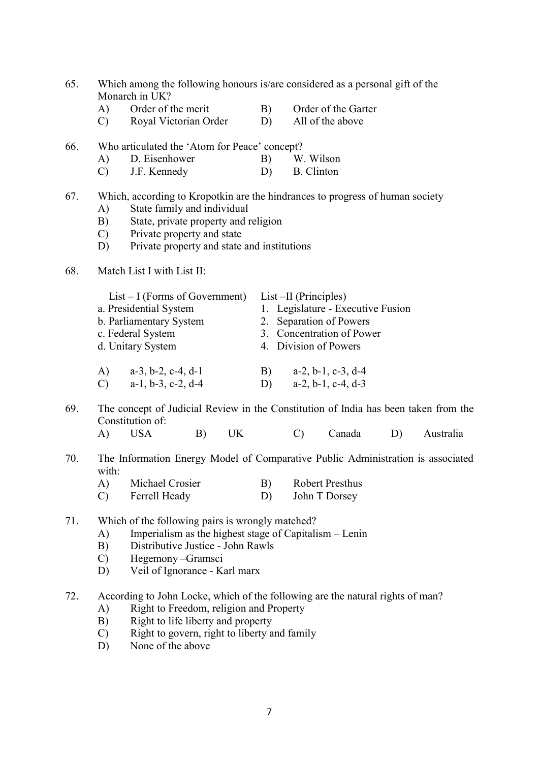| 65. | Which among the following honours is/are considered as a personal gift of the |
|-----|-------------------------------------------------------------------------------|
|     | Monarch in UK?                                                                |

- A) Order of the merit B) Order of the Garter
- C) Royal Victorian Order D) All of the above
- 66. Who articulated the 'Atom for Peace' concept?
	- A) D. Eisenhower B) W. Wilson
	- C) J.F. Kennedy D) B. Clinton

## 67. Which, according to Kropotkin are the hindrances to progress of human society

- A) State family and individual
- B) State, private property and religion
- C) Private property and state
- D) Private property and state and institutions
- 68. Match List I with List II:

| $List-I$ (Forms of Government)                                                         | $List$ –II (Principles)                                                      |
|----------------------------------------------------------------------------------------|------------------------------------------------------------------------------|
| a. Presidential System                                                                 | 1. Legislature - Executive Fusion                                            |
| b. Parliamentary System                                                                | 2. Separation of Powers                                                      |
| c. Federal System                                                                      | 3. Concentration of Power                                                    |
| d. Unitary System                                                                      | 4. Division of Powers                                                        |
| $\mathbf{A}$<br>$a-3$ , $b-2$ , $c-4$ , $d-1$<br>$a-1, b-3, c-2, d-4$<br>$\mathcal{C}$ | $a-2, b-1, c-3, d-4$<br>$\mathbf{B}$<br>$a-2, b-1, c-4, d-3$<br>$\mathbf{D}$ |

69. The concept of Judicial Review in the Constitution of India has been taken from the Constitution of:

- A) USA B) UK C) Canada D) Australia
- 70. The Information Energy Model of Comparative Public Administration is associated with:
	- A) Michael Crosier B) Robert Presthus
	- C) Ferrell Heady D) John T Dorsey

71. Which of the following pairs is wrongly matched?

- A) Imperialism as the highest stage of Capitalism Lenin
- B) Distributive Justice John Rawls
- C) Hegemony –Gramsci
- D) Veil of Ignorance Karl marx

72. According to John Locke, which of the following are the natural rights of man?

- A) Right to Freedom, religion and Property
- B) Right to life liberty and property
- C) Right to govern, right to liberty and family
- D) None of the above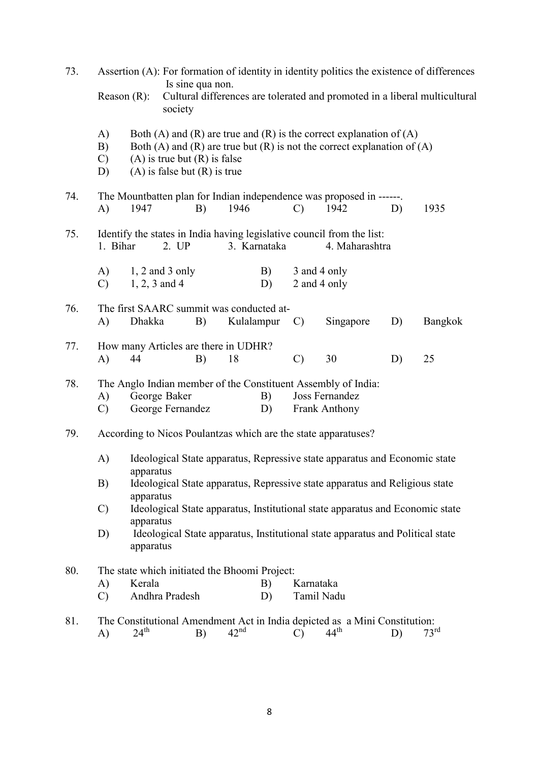| 73. |                                                                                                                               | Assertion (A): For formation of identity in identity politics the existence of differences<br>Is sine qua non.<br>Cultural differences are tolerated and promoted in a liberal multicultural<br>Reason $(R)$ :<br>society |                                  |                                                                      |                  |          |                         |                                                                                                                                                  |    |                  |  |
|-----|-------------------------------------------------------------------------------------------------------------------------------|---------------------------------------------------------------------------------------------------------------------------------------------------------------------------------------------------------------------------|----------------------------------|----------------------------------------------------------------------|------------------|----------|-------------------------|--------------------------------------------------------------------------------------------------------------------------------------------------|----|------------------|--|
|     | A)<br>B)<br>$\mathcal{C}$<br>D)                                                                                               |                                                                                                                                                                                                                           |                                  | $(A)$ is true but $(R)$ is false<br>$(A)$ is false but $(R)$ is true |                  |          |                         | Both (A) and (R) are true and (R) is the correct explanation of $(A)$<br>Both (A) and (R) are true but (R) is not the correct explanation of (A) |    |                  |  |
| 74. | A)                                                                                                                            | The Mountbatten plan for Indian independence was proposed in ------.<br>1946<br>1942<br>1947<br>B)<br>D)<br>1935<br>$\mathcal{C}$                                                                                         |                                  |                                                                      |                  |          |                         |                                                                                                                                                  |    |                  |  |
| 75. | Identify the states in India having legislative council from the list:<br>1. Bihar<br>2. UP<br>3. Karnataka<br>4. Maharashtra |                                                                                                                                                                                                                           |                                  |                                                                      |                  |          |                         |                                                                                                                                                  |    |                  |  |
|     | A)<br>$\mathcal{C}$                                                                                                           | $1, 2$ and 3 only<br>B)<br>3 and 4 only<br>2 and 4 only<br>$1, 2, 3$ and 4<br>D)                                                                                                                                          |                                  |                                                                      |                  |          |                         |                                                                                                                                                  |    |                  |  |
| 76. | A)                                                                                                                            | The first SAARC summit was conducted at-<br>Dhakka<br>B)<br>Kulalampur<br>Singapore<br>D)<br>Bangkok<br>$\mathcal{C}$                                                                                                     |                                  |                                                                      |                  |          |                         |                                                                                                                                                  |    |                  |  |
| 77. | A)                                                                                                                            | How many Articles are there in UDHR?<br>44                                                                                                                                                                                |                                  | B)                                                                   | 18               |          | $\mathcal{C}$           | 30                                                                                                                                               | D) | 25               |  |
| 78. | A)<br>$\mathcal{C}$                                                                                                           |                                                                                                                                                                                                                           | George Baker<br>George Fernandez |                                                                      |                  | B)<br>D) |                         | The Anglo Indian member of the Constituent Assembly of India:<br>Joss Fernandez<br>Frank Anthony                                                 |    |                  |  |
| 79. |                                                                                                                               |                                                                                                                                                                                                                           |                                  |                                                                      |                  |          |                         | According to Nicos Poulantzas which are the state apparatuses?                                                                                   |    |                  |  |
|     | A)                                                                                                                            | apparatus                                                                                                                                                                                                                 |                                  |                                                                      |                  |          |                         | Ideological State apparatus, Repressive state apparatus and Economic state                                                                       |    |                  |  |
|     | B)                                                                                                                            | apparatus                                                                                                                                                                                                                 |                                  |                                                                      |                  |          |                         | Ideological State apparatus, Repressive state apparatus and Religious state                                                                      |    |                  |  |
|     | $\mathcal{C}$                                                                                                                 | apparatus                                                                                                                                                                                                                 |                                  |                                                                      |                  |          |                         | Ideological State apparatus, Institutional state apparatus and Economic state                                                                    |    |                  |  |
|     | D)                                                                                                                            | apparatus                                                                                                                                                                                                                 |                                  |                                                                      |                  |          |                         | Ideological State apparatus, Institutional state apparatus and Political state                                                                   |    |                  |  |
| 80. | A)<br>$\mathcal{C}$                                                                                                           | The state which initiated the Bhoomi Project:<br>Kerala                                                                                                                                                                   | Andhra Pradesh                   |                                                                      |                  | B)<br>D) | Karnataka<br>Tamil Nadu |                                                                                                                                                  |    |                  |  |
| 81. | A)                                                                                                                            | $24^{\text{th}}$                                                                                                                                                                                                          |                                  | B)                                                                   | $42^{\text{nd}}$ |          | $\mathcal{C}$           | The Constitutional Amendment Act in India depicted as a Mini Constitution:<br>$44^{\text{th}}$                                                   | D) | 73 <sup>rd</sup> |  |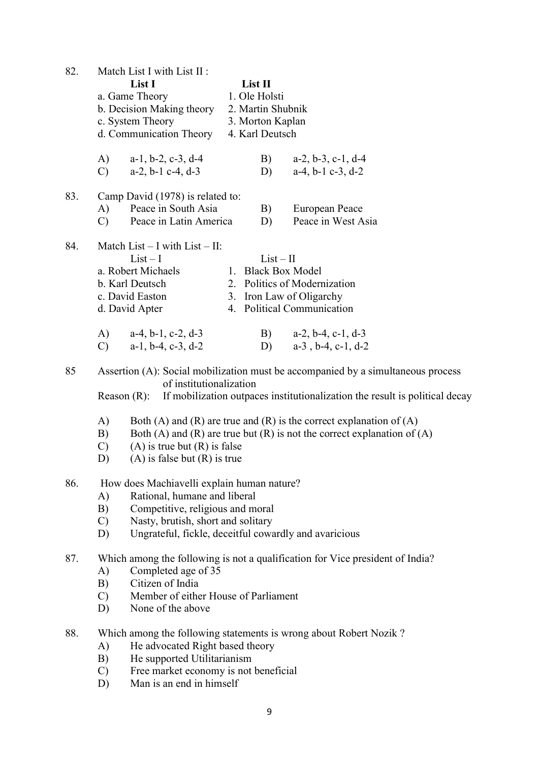| 82. |                | Match List I with List II :                           |                   |                                                                                  |
|-----|----------------|-------------------------------------------------------|-------------------|----------------------------------------------------------------------------------|
|     |                | List I                                                | List II           |                                                                                  |
|     |                | a. Game Theory                                        | 1. Ole Holsti     |                                                                                  |
|     |                | b. Decision Making theory                             | 2. Martin Shubnik |                                                                                  |
|     |                | c. System Theory                                      | 3. Morton Kaplan  |                                                                                  |
|     |                | d. Communication Theory                               | 4. Karl Deutsch   |                                                                                  |
|     | A)             | $a-1$ , $b-2$ , $c-3$ , $d-4$                         | B)                | $a-2, b-3, c-1, d-4$                                                             |
|     | $\mathcal{C}$  | a-2, b-1 c-4, d-3                                     | D)                | $a-4$ , $b-1$ $c-3$ , $d-2$                                                      |
| 83. |                | Camp David (1978) is related to:                      |                   |                                                                                  |
|     | A)             | Peace in South Asia                                   | B)                | European Peace                                                                   |
|     | $\mathbf{C}$   | Peace in Latin America                                | D)                | Peace in West Asia                                                               |
| 84. |                | Match List - I with List - II:                        |                   |                                                                                  |
|     |                | $List-I$                                              | $List-II$         |                                                                                  |
|     |                | a. Robert Michaels                                    |                   | 1. Black Box Model                                                               |
|     |                | b. Karl Deutsch                                       |                   | 2. Politics of Modernization                                                     |
|     |                | c. David Easton                                       |                   | 3. Iron Law of Oligarchy                                                         |
|     |                | d. David Apter                                        |                   | 4. Political Communication                                                       |
|     |                |                                                       |                   |                                                                                  |
|     | A)             | $a-4$ , $b-1$ , $c-2$ , $d-3$                         | B)                | $a-2$ , $b-4$ , $c-1$ , $d-3$                                                    |
|     | $\mathcal{C}$  | $a-1$ , $b-4$ , $c-3$ , $d-2$                         | D)                | $a-3$ , $b-4$ , $c-1$ , $d-2$                                                    |
| 85  |                |                                                       |                   | Assertion (A): Social mobilization must be accompanied by a simultaneous process |
|     |                | of institutionalization                               |                   |                                                                                  |
|     | Reason $(R)$ : |                                                       |                   | If mobilization outpaces institutionalization the result is political decay      |
|     | A)             |                                                       |                   | Both (A) and (R) are true and (R) is the correct explanation of $(A)$            |
|     | B)             |                                                       |                   | Both (A) and (R) are true but (R) is not the correct explanation of (A)          |
|     | $\mathcal{C}$  | $(A)$ is true but $(R)$ is false                      |                   |                                                                                  |
|     | D)             | $(A)$ is false but $(R)$ is true                      |                   |                                                                                  |
| 86. |                | How does Machiavelli explain human nature?            |                   |                                                                                  |
|     | A)             | Rational, humane and liberal                          |                   |                                                                                  |
|     | B)             | Competitive, religious and moral                      |                   |                                                                                  |
|     | $\mathcal{C}$  | Nasty, brutish, short and solitary                    |                   |                                                                                  |
|     | D)             | Ungrateful, fickle, deceitful cowardly and avaricious |                   |                                                                                  |
| 87. |                |                                                       |                   | Which among the following is not a qualification for Vice president of India?    |
|     | A)             | Completed age of 35                                   |                   |                                                                                  |
|     | B)             | Citizen of India                                      |                   |                                                                                  |
|     | $\mathcal{C}$  | Member of either House of Parliament                  |                   |                                                                                  |
|     | D)             | None of the above                                     |                   |                                                                                  |
|     |                |                                                       |                   |                                                                                  |
| 88. |                |                                                       |                   | Which among the following statements is wrong about Robert Nozik?                |
|     | A)             | He advocated Right based theory                       |                   |                                                                                  |
|     | B)             | He supported Utilitarianism                           |                   |                                                                                  |
|     | $\mathcal{C}$  | Free market economy is not beneficial                 |                   |                                                                                  |
|     | D)             | Man is an end in himself                              |                   |                                                                                  |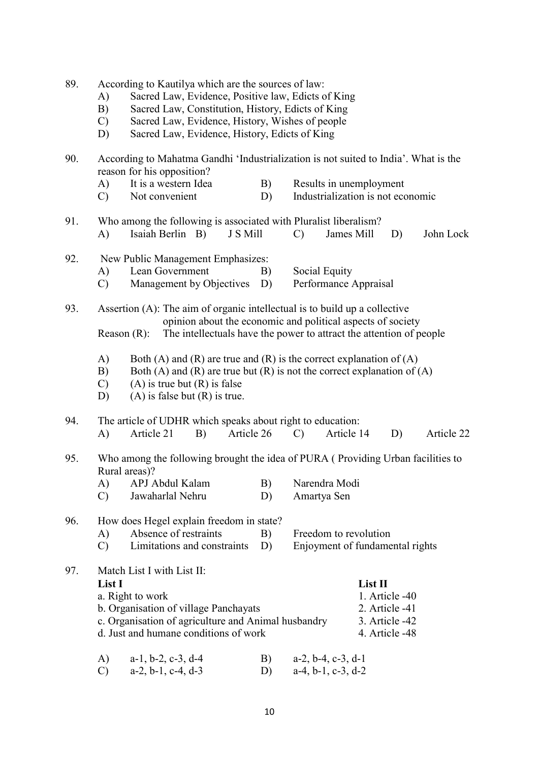| 89. | According to Kautilya which are the sources of law: |  |  |
|-----|-----------------------------------------------------|--|--|
|     |                                                     |  |  |

- A) Sacred Law, Evidence, Positive law, Edicts of King<br>B) Sacred Law, Constitution, History, Edicts of King
- 
- B) Sacred Law, Constitution, History, Edicts of King<br>C) Sacred Law, Evidence, History, Wishes of people Sacred Law, Evidence, History, Wishes of people
- D) Sacred Law, Evidence, History, Edicts of King

| 90. | A)                                                                                                                                                                                                                                 | According to Mahatma Gandhi 'Industrialization is not suited to India'. What is the<br>reason for his opposition?<br>It is a western Idea                                                                                                                                  | B)         | Results in unemployment                                  |  |    |            |  |  |  |
|-----|------------------------------------------------------------------------------------------------------------------------------------------------------------------------------------------------------------------------------------|----------------------------------------------------------------------------------------------------------------------------------------------------------------------------------------------------------------------------------------------------------------------------|------------|----------------------------------------------------------|--|----|------------|--|--|--|
|     | $\mathcal{C}$                                                                                                                                                                                                                      | Not convenient                                                                                                                                                                                                                                                             | D)         | Industrialization is not economic                        |  |    |            |  |  |  |
| 91. | A)                                                                                                                                                                                                                                 | Who among the following is associated with Pluralist liberalism?<br>Isaiah Berlin B)<br>J S Mill<br>$\mathcal{C}$<br>James Mill<br>D)<br>John Lock                                                                                                                         |            |                                                          |  |    |            |  |  |  |
| 92. | A)<br>$\mathcal{C}$                                                                                                                                                                                                                | New Public Management Emphasizes:<br>Lean Government<br>Social Equity<br>B)<br>Management by Objectives D)<br>Performance Appraisal                                                                                                                                        |            |                                                          |  |    |            |  |  |  |
| 93. | Assertion (A): The aim of organic intellectual is to build up a collective<br>opinion about the economic and political aspects of society<br>The intellectuals have the power to attract the attention of people<br>Reason $(R)$ : |                                                                                                                                                                                                                                                                            |            |                                                          |  |    |            |  |  |  |
|     | A)<br>B)<br>$\mathcal{C}$<br>D)                                                                                                                                                                                                    | Both (A) and (R) are true and (R) is the correct explanation of (A)<br>Both (A) and (R) are true but (R) is not the correct explanation of (A)<br>$(A)$ is true but $(R)$ is false<br>$(A)$ is false but $(R)$ is true.                                                    |            |                                                          |  |    |            |  |  |  |
| 94. | A)                                                                                                                                                                                                                                 | The article of UDHR which speaks about right to education:<br>Article 21<br>B)                                                                                                                                                                                             | Article 26 | Article 14<br>$\mathcal{C}$                              |  | D) | Article 22 |  |  |  |
| 95. |                                                                                                                                                                                                                                    | Who among the following brought the idea of PURA (Providing Urban facilities to<br>Rural areas)?                                                                                                                                                                           |            |                                                          |  |    |            |  |  |  |
|     | A)<br>$\mathbf{C}$                                                                                                                                                                                                                 | APJ Abdul Kalam<br>Jawaharlal Nehru                                                                                                                                                                                                                                        | B)<br>D)   | Narendra Modi<br>Amartya Sen                             |  |    |            |  |  |  |
| 96. | A)<br>$\mathcal{C}$                                                                                                                                                                                                                | How does Hegel explain freedom in state?<br>Absence of restraints<br>Limitations and constraints                                                                                                                                                                           | B)<br>D)   | Freedom to revolution<br>Enjoyment of fundamental rights |  |    |            |  |  |  |
| 97. | List I                                                                                                                                                                                                                             | Match List I with List II:<br>List II<br>1. Article -40<br>a. Right to work<br>b. Organisation of village Panchayats<br>2. Article -41<br>c. Organisation of agriculture and Animal husbandry<br>3. Article -42<br>d. Just and humane conditions of work<br>4. Article -48 |            |                                                          |  |    |            |  |  |  |
|     | A)                                                                                                                                                                                                                                 | $a-1$ , $b-2$ , $c-3$ , $d-4$                                                                                                                                                                                                                                              | B)         | $a-2$ , $b-4$ , $c-3$ , $d-1$                            |  |    |            |  |  |  |

C) a-2, b-1, c-4, d-3 D) a-4, b-1, c-3, d-2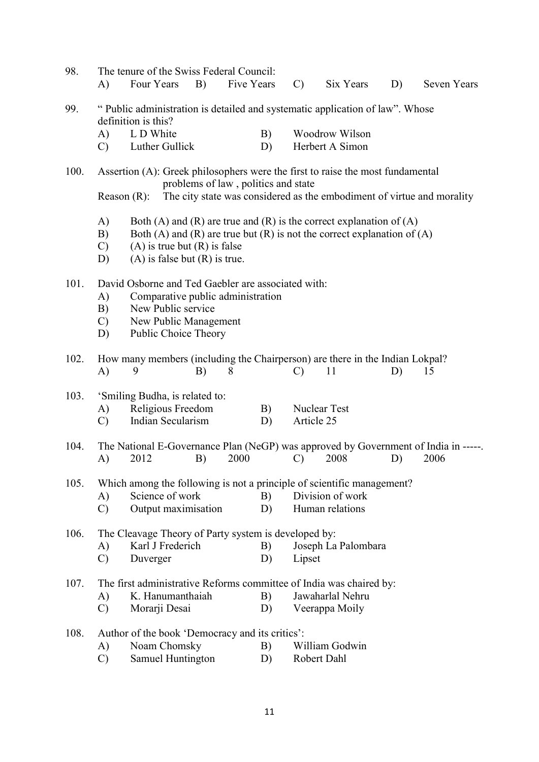| 98.  | A)                              | The tenure of the Swiss Federal Council:<br>Four Years                                                                                                                                                                  | B) | Five Years                          |          | $\mathcal{C}$ | Six Years                                                              | D) | <b>Seven Years</b> |  |
|------|---------------------------------|-------------------------------------------------------------------------------------------------------------------------------------------------------------------------------------------------------------------------|----|-------------------------------------|----------|---------------|------------------------------------------------------------------------|----|--------------------|--|
| 99.  |                                 | "Public administration is detailed and systematic application of law". Whose<br>definition is this?                                                                                                                     |    |                                     |          |               |                                                                        |    |                    |  |
|      | A)                              | L D White                                                                                                                                                                                                               |    |                                     | B)       |               | Woodrow Wilson                                                         |    |                    |  |
|      | $\mathcal{C}$                   | Luther Gullick                                                                                                                                                                                                          |    |                                     | D)       |               | Herbert A Simon                                                        |    |                    |  |
| 100. | Reason $(R)$ :                  | Assertion (A): Greek philosophers were the first to raise the most fundamental                                                                                                                                          |    | problems of law, politics and state |          |               | The city state was considered as the embodiment of virtue and morality |    |                    |  |
|      | A)<br>B)<br>$\mathcal{C}$<br>D) | Both (A) and (R) are true and (R) is the correct explanation of (A)<br>Both (A) and (R) are true but (R) is not the correct explanation of (A)<br>$(A)$ is true but $(R)$ is false<br>$(A)$ is false but $(R)$ is true. |    |                                     |          |               |                                                                        |    |                    |  |
| 101. | A)<br>B)<br>$\mathcal{C}$<br>D) | David Osborne and Ted Gaebler are associated with:<br>Comparative public administration<br>New Public service<br>New Public Management<br>Public Choice Theory                                                          |    |                                     |          |               |                                                                        |    |                    |  |
| 102. | A)                              | How many members (including the Chairperson) are there in the Indian Lokpal?<br>11<br>15<br>9<br>B)<br>8<br>$\mathcal{C}$<br>D)                                                                                         |    |                                     |          |               |                                                                        |    |                    |  |
| 103. | A)<br>$\mathcal{C}$             | 'Smiling Budha, is related to:<br>Religious Freedom<br>Indian Secularism                                                                                                                                                |    |                                     | B)<br>D) | Article 25    | <b>Nuclear Test</b>                                                    |    |                    |  |
| 104. | A)                              | The National E-Governance Plan (NeGP) was approved by Government of India in -----.<br>2012                                                                                                                             | B) | 2000                                |          | $\mathcal{C}$ | 2008                                                                   | D) | 2006               |  |
| 105. | A)<br>$\mathcal{C}$             | Which among the following is not a principle of scientific management?<br>Science of work<br>Output maximisation                                                                                                        |    |                                     | B)<br>D) |               | Division of work<br>Human relations                                    |    |                    |  |
| 106. | A)<br>$\mathcal{C}$             | The Cleavage Theory of Party system is developed by:<br>Karl J Frederich<br>Duverger                                                                                                                                    |    |                                     | B)<br>D) | Lipset        | Joseph La Palombara                                                    |    |                    |  |
| 107. |                                 | The first administrative Reforms committee of India was chaired by:                                                                                                                                                     |    |                                     |          |               |                                                                        |    |                    |  |
|      | A)                              | K. Hanumanthaiah                                                                                                                                                                                                        |    |                                     | B)       |               | Jawaharlal Nehru                                                       |    |                    |  |
|      | $\mathcal{C}$                   | Morarji Desai                                                                                                                                                                                                           |    |                                     | D)       |               | Veerappa Moily                                                         |    |                    |  |
| 108. | A)<br>$\mathcal{C}$             | Author of the book 'Democracy and its critics':<br>Noam Chomsky<br>Samuel Huntington                                                                                                                                    |    |                                     | B)<br>D) | Robert Dahl   | William Godwin                                                         |    |                    |  |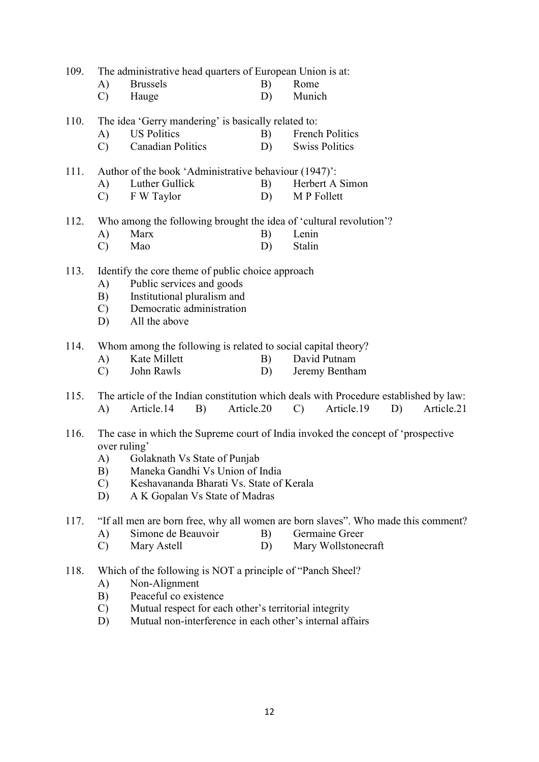| 109. | The administrative head quarters of European Union is at: |
|------|-----------------------------------------------------------|
|------|-----------------------------------------------------------|

| A) | <b>Brussels</b> | B) | Rome   |
|----|-----------------|----|--------|
|    | Hauge           | D) | Munich |

| 110. | The idea 'Gerry mandering' is basically related to: |             |  |                        |
|------|-----------------------------------------------------|-------------|--|------------------------|
|      |                                                     | US Politics |  | <b>French Politics</b> |

C) Canadian Politics D) Swiss Politics

|  | 111. Author of the book 'Administrative behaviour (1947)': |                 |  |
|--|------------------------------------------------------------|-----------------|--|
|  | A) Luther Gullick                                          | Herbert A Simon |  |

C) F W Taylor D) M P Follett

## 112. Who among the following brought the idea of 'cultural revolution'?

- A) Marx B) Lenin C) Mao D) Stalin
- 113. Identify the core theme of public choice approach
	- A) Public services and goods
	- B) Institutional pluralism and
	- C) Democratic administration
	- D) All the above
- 114. Whom among the following is related to social capital theory?
	- A) Kate Millett B) David Putnam
	- C) John Rawls D) Jeremy Bentham
- 115. The article of the Indian constitution which deals with Procedure established by law: A) Article.14 B) Article.20 C) Article.19 D) Article.21
- 116. The case in which the Supreme court of India invoked the concept of 'prospective over ruling'
	- A) Golaknath Vs State of Punjab
	- B) Maneka Gandhi Vs Union of India
	- C) Keshavananda Bharati Vs. State of Kerala
	- D) A K Gopalan Vs State of Madras

117. "If all men are born free, why all women are born slaves". Who made this comment?

- A) Simone de Beauvoir B) Germaine Greer
- C) Mary Astell D) Mary Wollstonecraft
- 118. Which of the following is NOT a principle of "Panch Sheel?
	- A) Non-Alignment
	- B) Peaceful co existence
	- C) Mutual respect for each other's territorial integrity
	- D) Mutual non-interference in each other's internal affairs